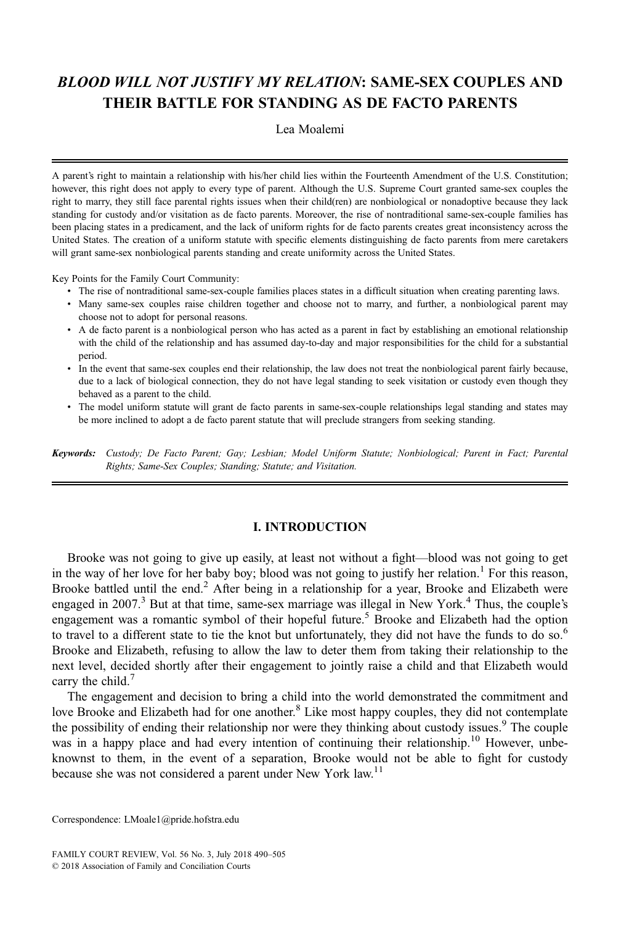# BLOOD WILL NOT JUSTIFY MY RELATION: SAME-SEX COUPLES AND THEIR BATTLE FOR STANDING AS DE FACTO PARENTS

# Lea Moalemi

A parent's right to maintain a relationship with his/her child lies within the Fourteenth Amendment of the U.S. Constitution; however, this right does not apply to every type of parent. Although the U.S. Supreme Court granted same-sex couples the right to marry, they still face parental rights issues when their child(ren) are nonbiological or nonadoptive because they lack standing for custody and/or visitation as de facto parents. Moreover, the rise of nontraditional same-sex-couple families has been placing states in a predicament, and the lack of uniform rights for de facto parents creates great inconsistency across the United States. The creation of a uniform statute with specific elements distinguishing de facto parents from mere caretakers will grant same-sex nonbiological parents standing and create uniformity across the United States.

Key Points for the Family Court Community:

- The rise of nontraditional same-sex-couple families places states in a difficult situation when creating parenting laws.
- Many same-sex couples raise children together and choose not to marry, and further, a nonbiological parent may choose not to adopt for personal reasons.
- A de facto parent is a nonbiological person who has acted as a parent in fact by establishing an emotional relationship with the child of the relationship and has assumed day-to-day and major responsibilities for the child for a substantial period.
- In the event that same-sex couples end their relationship, the law does not treat the nonbiological parent fairly because, due to a lack of biological connection, they do not have legal standing to seek visitation or custody even though they behaved as a parent to the child.
- The model uniform statute will grant de facto parents in same-sex-couple relationships legal standing and states may be more inclined to adopt a de facto parent statute that will preclude strangers from seeking standing.

Keywords: Custody; De Facto Parent; Gay; Lesbian; Model Uniform Statute; Nonbiological; Parent in Fact; Parental Rights; Same-Sex Couples; Standing; Statute; and Visitation.

# I. INTRODUCTION

Brooke was not going to give up easily, at least not without a fight—blood was not going to get in the way of her love for her baby boy; blood was not going to justify her relation.<sup>1</sup> For this reason, Brooke battled until the end.<sup>2</sup> After being in a relationship for a year, Brooke and Elizabeth were engaged in 2007.<sup>3</sup> But at that time, same-sex marriage was illegal in New York.<sup>4</sup> Thus, the couple's engagement was a romantic symbol of their hopeful future.<sup>5</sup> Brooke and Elizabeth had the option to travel to a different state to tie the knot but unfortunately, they did not have the funds to do so.<sup>6</sup> Brooke and Elizabeth, refusing to allow the law to deter them from taking their relationship to the next level, decided shortly after their engagement to jointly raise a child and that Elizabeth would carry the child. $\prime$ 

The engagement and decision to bring a child into the world demonstrated the commitment and love Brooke and Elizabeth had for one another. $8$  Like most happy couples, they did not contemplate the possibility of ending their relationship nor were they thinking about custody issues.<sup>9</sup> The couple was in a happy place and had every intention of continuing their relationship.<sup>10</sup> However, unbeknownst to them, in the event of a separation, Brooke would not be able to fight for custody because she was not considered a parent under New York law.<sup>11</sup>

Correspondence: [LMoale1@pride.hofstra.edu](mailto:LMoale1@pride.hofstra.edu)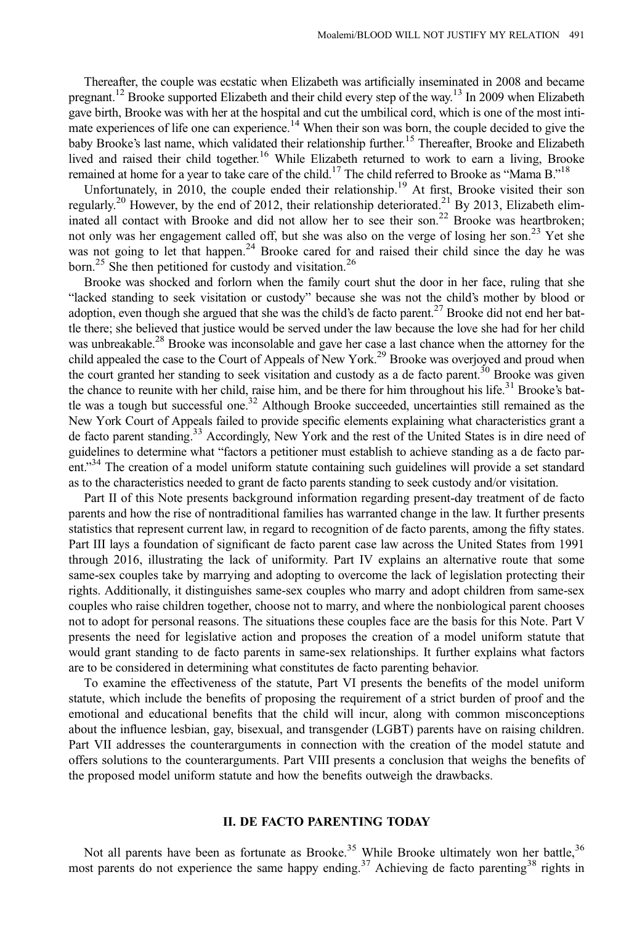Thereafter, the couple was ecstatic when Elizabeth was artificially inseminated in 2008 and became pregnant.<sup>12</sup> Brooke supported Elizabeth and their child every step of the way.<sup>13</sup> In 2009 when Elizabeth gave birth, Brooke was with her at the hospital and cut the umbilical cord, which is one of the most intimate experiences of life one can experience.<sup>14</sup> When their son was born, the couple decided to give the baby Brooke's last name, which validated their relationship further.<sup>15</sup> Thereafter, Brooke and Elizabeth lived and raised their child together.<sup>16</sup> While Elizabeth returned to work to earn a living, Brooke remained at home for a year to take care of the child.<sup>17</sup> The child referred to Brooke as "Mama B."<sup>18</sup>

Unfortunately, in 2010, the couple ended their relationship.<sup>19</sup> At first, Brooke visited their son regularly.<sup>20</sup> However, by the end of 2012, their relationship deteriorated.<sup>21</sup> By 2013, Elizabeth eliminated all contact with Brooke and did not allow her to see their son.<sup>22</sup> Brooke was heartbroken; not only was her engagement called off, but she was also on the verge of losing her son.<sup>23</sup> Yet she was not going to let that happen.<sup>24</sup> Brooke cared for and raised their child since the day he was born.<sup>25</sup> She then petitioned for custody and visitation.<sup>26</sup>

Brooke was shocked and forlorn when the family court shut the door in her face, ruling that she "lacked standing to seek visitation or custody" because she was not the child's mother by blood or adoption, even though she argued that she was the child's de facto parent.<sup>27</sup> Brooke did not end her battle there; she believed that justice would be served under the law because the love she had for her child was unbreakable.<sup>28</sup> Brooke was inconsolable and gave her case a last chance when the attorney for the child appealed the case to the Court of Appeals of New York.<sup>29</sup> Brooke was overjoyed and proud when the court granted her standing to seek visitation and custody as a de facto parent.<sup>30</sup> Brooke was given the chance to reunite with her child, raise him, and be there for him throughout his life. $31$  Brooke's battle was a tough but successful one.<sup>32</sup> Although Brooke succeeded, uncertainties still remained as the New York Court of Appeals failed to provide specific elements explaining what characteristics grant a de facto parent standing.<sup>33</sup> Accordingly, New York and the rest of the United States is in dire need of guidelines to determine what "factors a petitioner must establish to achieve standing as a de facto parent."<sup>34</sup> The creation of a model uniform statute containing such guidelines will provide a set standard as to the characteristics needed to grant de facto parents standing to seek custody and/or visitation.

Part II of this Note presents background information regarding present-day treatment of de facto parents and how the rise of nontraditional families has warranted change in the law. It further presents statistics that represent current law, in regard to recognition of de facto parents, among the fifty states. Part III lays a foundation of significant de facto parent case law across the United States from 1991 through 2016, illustrating the lack of uniformity. Part IV explains an alternative route that some same-sex couples take by marrying and adopting to overcome the lack of legislation protecting their rights. Additionally, it distinguishes same-sex couples who marry and adopt children from same-sex couples who raise children together, choose not to marry, and where the nonbiological parent chooses not to adopt for personal reasons. The situations these couples face are the basis for this Note. Part V presents the need for legislative action and proposes the creation of a model uniform statute that would grant standing to de facto parents in same-sex relationships. It further explains what factors are to be considered in determining what constitutes de facto parenting behavior.

To examine the effectiveness of the statute, Part VI presents the benefits of the model uniform statute, which include the benefits of proposing the requirement of a strict burden of proof and the emotional and educational benefits that the child will incur, along with common misconceptions about the influence lesbian, gay, bisexual, and transgender (LGBT) parents have on raising children. Part VII addresses the counterarguments in connection with the creation of the model statute and offers solutions to the counterarguments. Part VIII presents a conclusion that weighs the benefits of the proposed model uniform statute and how the benefits outweigh the drawbacks.

#### II. DE FACTO PARENTING TODAY

Not all parents have been as fortunate as Brooke.<sup>35</sup> While Brooke ultimately won her battle,<sup>36</sup> most parents do not experience the same happy ending.<sup>37</sup> Achieving de facto parenting<sup>38</sup> rights in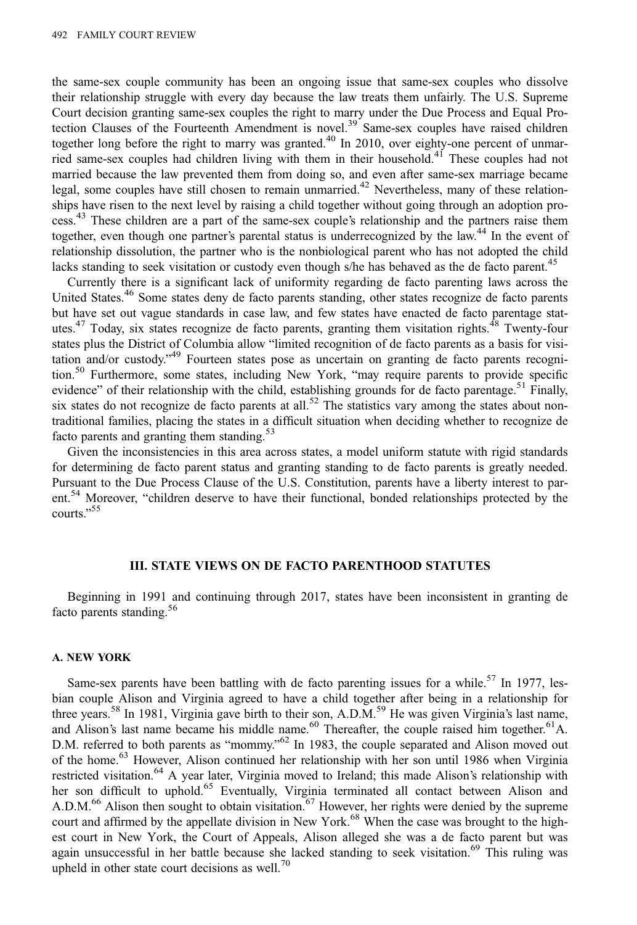the same-sex couple community has been an ongoing issue that same-sex couples who dissolve their relationship struggle with every day because the law treats them unfairly. The U.S. Supreme Court decision granting same-sex couples the right to marry under the Due Process and Equal Protection Clauses of the Fourteenth Amendment is novel.<sup>39</sup> Same-sex couples have raised children together long before the right to marry was granted.<sup>40</sup> In 2010, over eighty-one percent of unmarried same-sex couples had children living with them in their household.<sup>41</sup> These couples had not married because the law prevented them from doing so, and even after same-sex marriage became legal, some couples have still chosen to remain unmarried.<sup>42</sup> Nevertheless, many of these relationships have risen to the next level by raising a child together without going through an adoption process.<sup>43</sup> These children are a part of the same-sex couple's relationship and the partners raise them together, even though one partner's parental status is underrecognized by the law.<sup>44</sup> In the event of relationship dissolution, the partner who is the nonbiological parent who has not adopted the child lacks standing to seek visitation or custody even though s/he has behaved as the de facto parent.<sup>45</sup>

Currently there is a significant lack of uniformity regarding de facto parenting laws across the United States.<sup>46</sup> Some states deny de facto parents standing, other states recognize de facto parents but have set out vague standards in case law, and few states have enacted de facto parentage statutes.<sup>47</sup> Today, six states recognize de facto parents, granting them visitation rights.<sup>48</sup> Twenty-four states plus the District of Columbia allow "limited recognition of de facto parents as a basis for visitation and/or custody."<sup>49</sup> Fourteen states pose as uncertain on granting de facto parents recognition.<sup>50</sup> Furthermore, some states, including New York, "may require parents to provide specific evidence" of their relationship with the child, establishing grounds for de facto parentage.<sup>51</sup> Finally, six states do not recognize de facto parents at all.<sup>52</sup> The statistics vary among the states about nontraditional families, placing the states in a difficult situation when deciding whether to recognize de facto parents and granting them standing.<sup>53</sup>

Given the inconsistencies in this area across states, a model uniform statute with rigid standards for determining de facto parent status and granting standing to de facto parents is greatly needed. Pursuant to the Due Process Clause of the U.S. Constitution, parents have a liberty interest to parent.<sup>54</sup> Moreover, "children deserve to have their functional, bonded relationships protected by the courts." 55

#### III. STATE VIEWS ON DE FACTO PARENTHOOD STATUTES

Beginning in 1991 and continuing through 2017, states have been inconsistent in granting de facto parents standing.<sup>56</sup>

# A. NEW YORK

Same-sex parents have been battling with de facto parenting issues for a while.<sup>57</sup> In 1977, lesbian couple Alison and Virginia agreed to have a child together after being in a relationship for three years.<sup>58</sup> In 1981, Virginia gave birth to their son, A.D.M.<sup>59</sup> He was given Virginia's last name, and Alison's last name became his middle name.<sup>60</sup> Thereafter, the couple raised him together.<sup>61</sup>A. D.M. referred to both parents as "mommy."<sup>62</sup> In 1983, the couple separated and Alison moved out of the home.<sup>63</sup> However, Alison continued her relationship with her son until 1986 when Virginia restricted visitation.<sup>64</sup> A year later, Virginia moved to Ireland; this made Alison's relationship with her son difficult to uphold.<sup>65</sup> Eventually, Virginia terminated all contact between Alison and A.D.M.<sup>66</sup> Alison then sought to obtain visitation.<sup>67</sup> However, her rights were denied by the supreme court and affirmed by the appellate division in New York.<sup>68</sup> When the case was brought to the highest court in New York, the Court of Appeals, Alison alleged she was a de facto parent but was again unsuccessful in her battle because she lacked standing to seek visitation.<sup>69</sup> This ruling was upheld in other state court decisions as well.<sup>70</sup>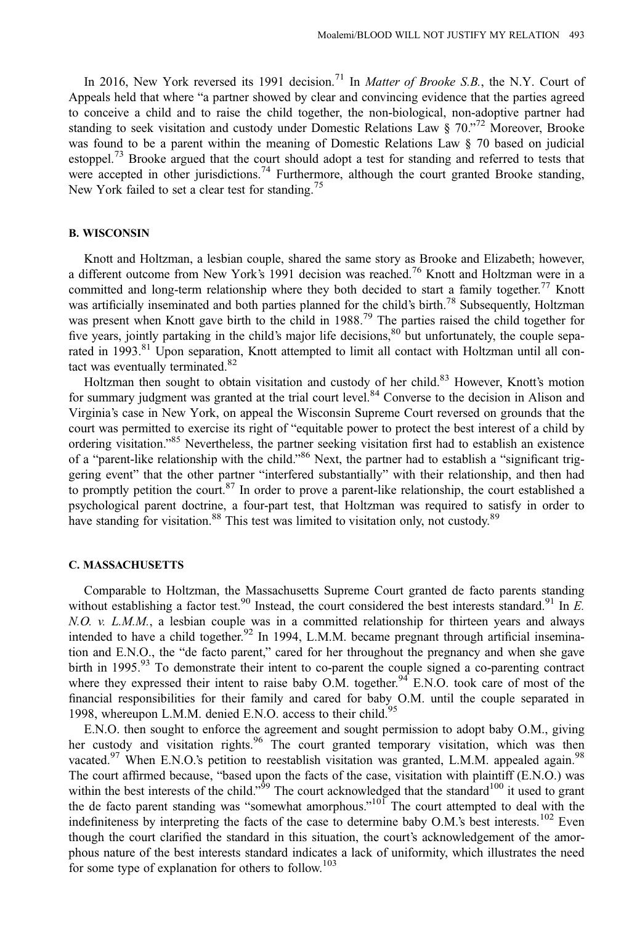In 2016, New York reversed its 1991 decision.<sup>71</sup> In *Matter of Brooke S.B.*, the N.Y. Court of Appeals held that where "a partner showed by clear and convincing evidence that the parties agreed to conceive a child and to raise the child together, the non-biological, non-adoptive partner had standing to seek visitation and custody under Domestic Relations Law § 70."<sup>72</sup> Moreover, Brooke was found to be a parent within the meaning of Domestic Relations Law § 70 based on judicial estoppel.<sup>73</sup> Brooke argued that the court should adopt a test for standing and referred to tests that were accepted in other jurisdictions.<sup>74</sup> Furthermore, although the court granted Brooke standing, New York failed to set a clear test for standing.<sup>75</sup>

# B. WISCONSIN

Knott and Holtzman, a lesbian couple, shared the same story as Brooke and Elizabeth; however, a different outcome from New York's 1991 decision was reached.<sup>76</sup> Knott and Holtzman were in a committed and long-term relationship where they both decided to start a family together.<sup>77</sup> Knott was artificially inseminated and both parties planned for the child's birth.<sup>78</sup> Subsequently, Holtzman was present when Knott gave birth to the child in 1988.<sup>79</sup> The parties raised the child together for five years, jointly partaking in the child's major life decisions,<sup>80</sup> but unfortunately, the couple separated in 1993.<sup>81</sup> Upon separation, Knott attempted to limit all contact with Holtzman until all contact was eventually terminated.<sup>82</sup>

Holtzman then sought to obtain visitation and custody of her child.<sup>83</sup> However, Knott's motion for summary judgment was granted at the trial court level.<sup>84</sup> Converse to the decision in Alison and Virginia's case in New York, on appeal the Wisconsin Supreme Court reversed on grounds that the court was permitted to exercise its right of "equitable power to protect the best interest of a child by ordering visitation."<sup>85</sup> Nevertheless, the partner seeking visitation first had to establish an existence of a "parent-like relationship with the child."<sup>86</sup> Next, the partner had to establish a "significant triggering event" that the other partner "interfered substantially" with their relationship, and then had to promptly petition the court.<sup>87</sup> In order to prove a parent-like relationship, the court established a psychological parent doctrine, a four-part test, that Holtzman was required to satisfy in order to have standing for visitation.<sup>88</sup> This test was limited to visitation only, not custody.<sup>89</sup>

## C. MASSACHUSETTS

Comparable to Holtzman, the Massachusetts Supreme Court granted de facto parents standing without establishing a factor test.<sup>90</sup> Instead, the court considered the best interests standard.<sup>91</sup> In E. N.O. v. L.M.M., a lesbian couple was in a committed relationship for thirteen years and always intended to have a child together.<sup>92</sup> In 1994, L.M.M. became pregnant through artificial insemination and E.N.O., the "de facto parent," cared for her throughout the pregnancy and when she gave birth in 1995.<sup>93</sup> To demonstrate their intent to co-parent the couple signed a co-parenting contract where they expressed their intent to raise baby O.M. together.<sup>94</sup> E.N.O. took care of most of the financial responsibilities for their family and cared for baby O.M. until the couple separated in 1998, whereupon L.M.M. denied E.N.O. access to their child.<sup>95</sup>

E.N.O. then sought to enforce the agreement and sought permission to adopt baby O.M., giving her custody and visitation rights.<sup>96</sup> The court granted temporary visitation, which was then vacated.<sup>97</sup> When E.N.O.'s petition to reestablish visitation was granted, L.M.M. appealed again.<sup>98</sup> The court affirmed because, "based upon the facts of the case, visitation with plaintiff (E.N.O.) was within the best interests of the child."<sup>59</sup> The court acknowledged that the standard<sup>100</sup> it used to grant the de facto parent standing was "somewhat amorphous."<sup>101</sup> The court attempted to deal with the indefiniteness by interpreting the facts of the case to determine baby O.M.'s best interests.<sup>102</sup> Even though the court clarified the standard in this situation, the court's acknowledgement of the amorphous nature of the best interests standard indicates a lack of uniformity, which illustrates the need for some type of explanation for others to follow.<sup>103</sup>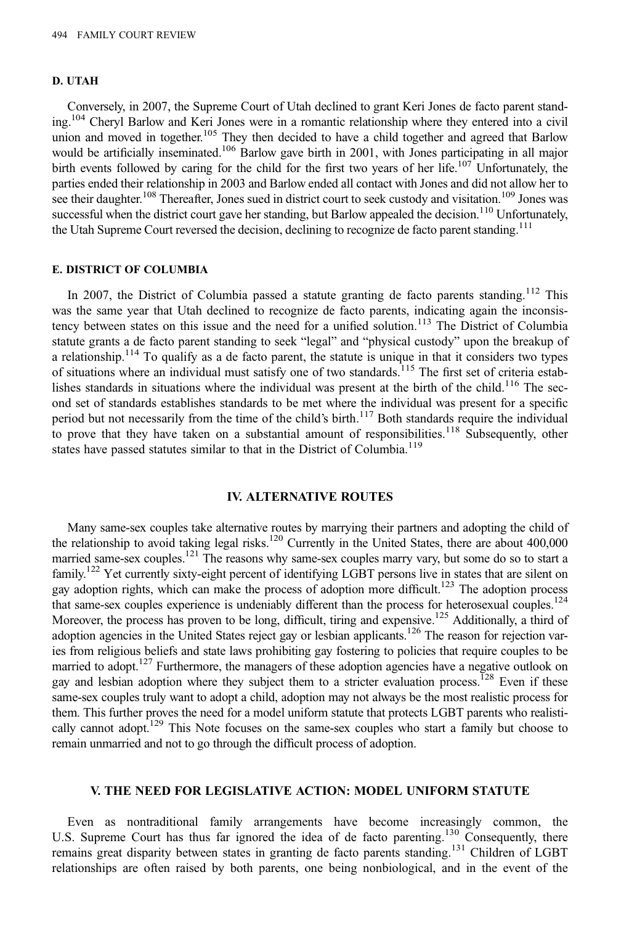#### D. UTAH

Conversely, in 2007, the Supreme Court of Utah declined to grant Keri Jones de facto parent standing.104 Cheryl Barlow and Keri Jones were in a romantic relationship where they entered into a civil union and moved in together.<sup>105</sup> They then decided to have a child together and agreed that Barlow would be artificially inseminated.<sup>106</sup> Barlow gave birth in 2001, with Jones participating in all major birth events followed by caring for the child for the first two years of her life.<sup>107</sup> Unfortunately, the parties ended their relationship in 2003 and Barlow ended all contact with Jones and did not allow her to see their daughter.<sup>108</sup> Thereafter, Jones sued in district court to seek custody and visitation.<sup>109</sup> Jones was successful when the district court gave her standing, but Barlow appealed the decision.<sup>110</sup> Unfortunately, the Utah Supreme Court reversed the decision, declining to recognize de facto parent standing.<sup>111</sup>

# E. DISTRICT OF COLUMBIA

In 2007, the District of Columbia passed a statute granting de facto parents standing.<sup>112</sup> This was the same year that Utah declined to recognize de facto parents, indicating again the inconsistency between states on this issue and the need for a unified solution.<sup>113</sup> The District of Columbia statute grants a de facto parent standing to seek "legal" and "physical custody" upon the breakup of a relationship.114 To qualify as a de facto parent, the statute is unique in that it considers two types of situations where an individual must satisfy one of two standards.<sup>115</sup> The first set of criteria establishes standards in situations where the individual was present at the birth of the child.<sup>116</sup> The second set of standards establishes standards to be met where the individual was present for a specific period but not necessarily from the time of the child's birth.<sup>117</sup> Both standards require the individual to prove that they have taken on a substantial amount of responsibilities.<sup>118</sup> Subsequently, other states have passed statutes similar to that in the District of Columbia.<sup>119</sup>

#### IV. ALTERNATIVE ROUTES

Many same-sex couples take alternative routes by marrying their partners and adopting the child of the relationship to avoid taking legal risks.<sup>120</sup> Currently in the United States, there are about 400,000 married same-sex couples.<sup>121</sup> The reasons why same-sex couples marry vary, but some do so to start a family.122 Yet currently sixty-eight percent of identifying LGBT persons live in states that are silent on gay adoption rights, which can make the process of adoption more difficult.<sup>123</sup> The adoption process that same-sex couples experience is undeniably different than the process for heterosexual couples.<sup>124</sup> Moreover, the process has proven to be long, difficult, tiring and expensive.<sup>125</sup> Additionally, a third of adoption agencies in the United States reject gay or lesbian applicants.<sup>126</sup> The reason for rejection varies from religious beliefs and state laws prohibiting gay fostering to policies that require couples to be married to adopt.<sup>127</sup> Furthermore, the managers of these adoption agencies have a negative outlook on gay and lesbian adoption where they subject them to a stricter evaluation process.<sup>128</sup> Even if these same-sex couples truly want to adopt a child, adoption may not always be the most realistic process for them. This further proves the need for a model uniform statute that protects LGBT parents who realistically cannot adopt.<sup>129</sup> This Note focuses on the same-sex couples who start a family but choose to remain unmarried and not to go through the difficult process of adoption.

#### V. THE NEED FOR LEGISLATIVE ACTION: MODEL UNIFORM STATUTE

Even as nontraditional family arrangements have become increasingly common, the U.S. Supreme Court has thus far ignored the idea of de facto parenting.<sup>130</sup> Consequently, there remains great disparity between states in granting de facto parents standing.<sup>131</sup> Children of LGBT relationships are often raised by both parents, one being nonbiological, and in the event of the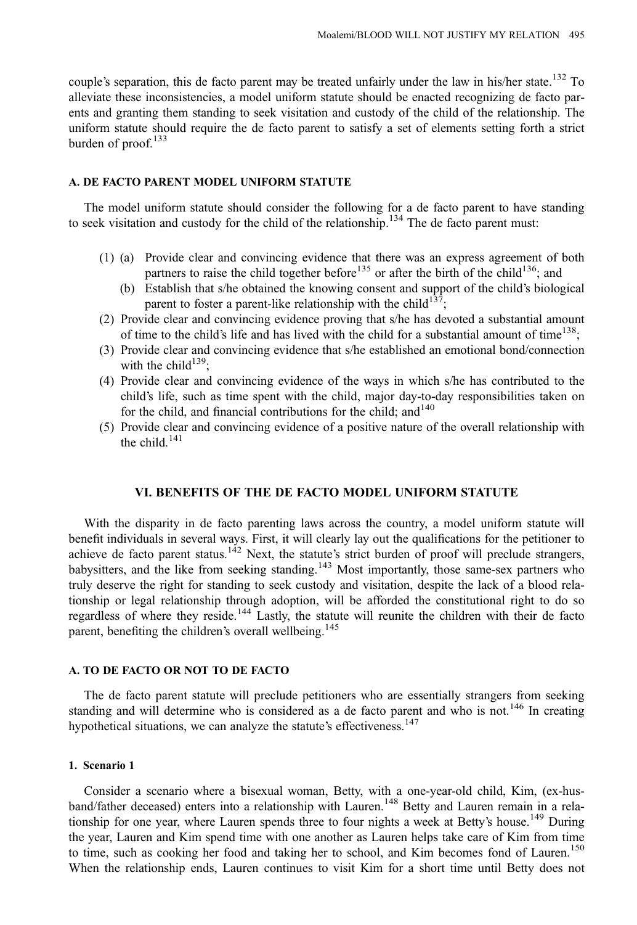couple's separation, this de facto parent may be treated unfairly under the law in his/her state.<sup>132</sup> To alleviate these inconsistencies, a model uniform statute should be enacted recognizing de facto parents and granting them standing to seek visitation and custody of the child of the relationship. The uniform statute should require the de facto parent to satisfy a set of elements setting forth a strict burden of proof. $133$ 

#### A. DE FACTO PARENT MODEL UNIFORM STATUTE

The model uniform statute should consider the following for a de facto parent to have standing to seek visitation and custody for the child of the relationship.<sup>134</sup> The de facto parent must:

- (1) (a) Provide clear and convincing evidence that there was an express agreement of both partners to raise the child together before<sup>135</sup> or after the birth of the child<sup>136</sup>; and
	- (b) Establish that s/he obtained the knowing consent and support of the child's biological parent to foster a parent-like relationship with the child<sup>137</sup>;
- (2) Provide clear and convincing evidence proving that s/he has devoted a substantial amount of time to the child's life and has lived with the child for a substantial amount of time<sup>138</sup>;
- (3) Provide clear and convincing evidence that s/he established an emotional bond/connection with the child<sup>139</sup>;
- (4) Provide clear and convincing evidence of the ways in which s/he has contributed to the child's life, such as time spent with the child, major day-to-day responsibilities taken on for the child, and financial contributions for the child; and  $140$
- (5) Provide clear and convincing evidence of a positive nature of the overall relationship with the child. $141$

# VI. BENEFITS OF THE DE FACTO MODEL UNIFORM STATUTE

With the disparity in de facto parenting laws across the country, a model uniform statute will benefit individuals in several ways. First, it will clearly lay out the qualifications for the petitioner to achieve de facto parent status.<sup>142</sup> Next, the statute's strict burden of proof will preclude strangers, babysitters, and the like from seeking standing.<sup>143</sup> Most importantly, those same-sex partners who truly deserve the right for standing to seek custody and visitation, despite the lack of a blood relationship or legal relationship through adoption, will be afforded the constitutional right to do so regardless of where they reside.<sup>144</sup> Lastly, the statute will reunite the children with their de facto parent, benefiting the children's overall wellbeing.<sup>145</sup>

#### A. TO DE FACTO OR NOT TO DE FACTO

The de facto parent statute will preclude petitioners who are essentially strangers from seeking standing and will determine who is considered as a de facto parent and who is not.<sup>146</sup> In creating hypothetical situations, we can analyze the statute's effectiveness.<sup>147</sup>

# 1. Scenario 1

Consider a scenario where a bisexual woman, Betty, with a one-year-old child, Kim, (ex-husband/father deceased) enters into a relationship with Lauren.<sup>148</sup> Betty and Lauren remain in a relationship for one year, where Lauren spends three to four nights a week at Betty's house.<sup>149</sup> During the year, Lauren and Kim spend time with one another as Lauren helps take care of Kim from time to time, such as cooking her food and taking her to school, and Kim becomes fond of Lauren.<sup>150</sup> When the relationship ends, Lauren continues to visit Kim for a short time until Betty does not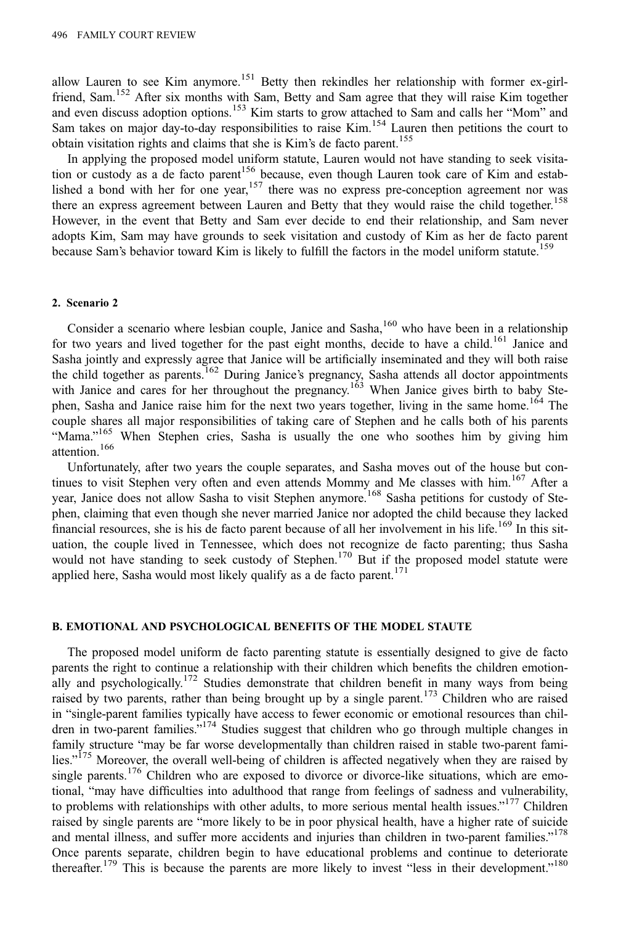allow Lauren to see Kim anymore.<sup>151</sup> Betty then rekindles her relationship with former ex-girlfriend, Sam.<sup>152</sup> After six months with Sam, Betty and Sam agree that they will raise Kim together and even discuss adoption options.<sup>153</sup> Kim starts to grow attached to Sam and calls her "Mom" and Sam takes on major day-to-day responsibilities to raise Kim.<sup>154</sup> Lauren then petitions the court to obtain visitation rights and claims that she is Kim's de facto parent.<sup>155</sup>

In applying the proposed model uniform statute, Lauren would not have standing to seek visitation or custody as a de facto parent<sup>156</sup> because, even though Lauren took care of Kim and established a bond with her for one year,<sup>157</sup> there was no express pre-conception agreement nor was there an express agreement between Lauren and Betty that they would raise the child together.<sup>158</sup> However, in the event that Betty and Sam ever decide to end their relationship, and Sam never adopts Kim, Sam may have grounds to seek visitation and custody of Kim as her de facto parent because Sam's behavior toward Kim is likely to fulfill the factors in the model uniform statute.<sup>159</sup>

#### 2. Scenario 2

Consider a scenario where lesbian couple, Janice and Sasha,<sup>160</sup> who have been in a relationship for two years and lived together for the past eight months, decide to have a child.<sup>161</sup> Janice and Sasha jointly and expressly agree that Janice will be artificially inseminated and they will both raise the child together as parents.<sup>162</sup> During Janice's pregnancy, Sasha attends all doctor appointments with Janice and cares for her throughout the pregnancy.<sup>163</sup> When Janice gives birth to baby Stephen, Sasha and Janice raise him for the next two years together, living in the same home.<sup>164</sup> The couple shares all major responsibilities of taking care of Stephen and he calls both of his parents "Mama."<sup>165</sup> When Stephen cries, Sasha is usually the one who soothes him by giving him attention.<sup>166</sup>

Unfortunately, after two years the couple separates, and Sasha moves out of the house but continues to visit Stephen very often and even attends Mommy and Me classes with him.<sup>167</sup> After a year, Janice does not allow Sasha to visit Stephen anymore.<sup>168</sup> Sasha petitions for custody of Stephen, claiming that even though she never married Janice nor adopted the child because they lacked financial resources, she is his de facto parent because of all her involvement in his life.<sup>169</sup> In this situation, the couple lived in Tennessee, which does not recognize de facto parenting; thus Sasha would not have standing to seek custody of Stephen.<sup>170</sup> But if the proposed model statute were applied here, Sasha would most likely qualify as a de facto parent.<sup>171</sup>

# B. EMOTIONAL AND PSYCHOLOGICAL BENEFITS OF THE MODEL STAUTE

The proposed model uniform de facto parenting statute is essentially designed to give de facto parents the right to continue a relationship with their children which benefits the children emotionally and psychologically.<sup>172</sup> Studies demonstrate that children benefit in many ways from being raised by two parents, rather than being brought up by a single parent.<sup>173</sup> Children who are raised in "single-parent families typically have access to fewer economic or emotional resources than children in two-parent families."<sup>174</sup> Studies suggest that children who go through multiple changes in family structure "may be far worse developmentally than children raised in stable two-parent families."<sup>175</sup> Moreover, the overall well-being of children is affected negatively when they are raised by single parents.<sup>176</sup> Children who are exposed to divorce or divorce-like situations, which are emotional, "may have difficulties into adulthood that range from feelings of sadness and vulnerability, to problems with relationships with other adults, to more serious mental health issues."<sup>177</sup> Children raised by single parents are "more likely to be in poor physical health, have a higher rate of suicide and mental illness, and suffer more accidents and injuries than children in two-parent families."<sup>178</sup> Once parents separate, children begin to have educational problems and continue to deteriorate thereafter.<sup>179</sup> This is because the parents are more likely to invest "less in their development."<sup>180</sup>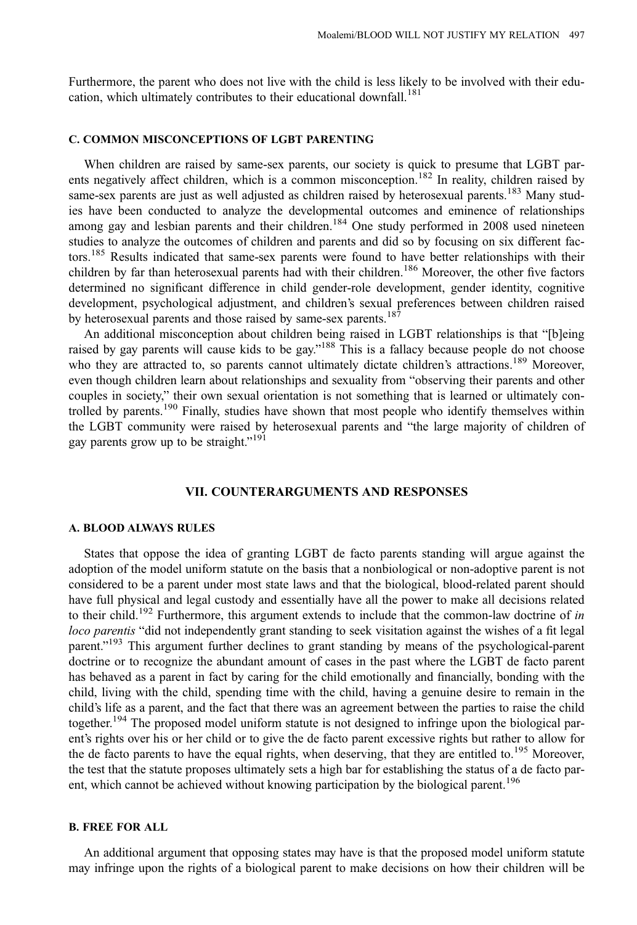Furthermore, the parent who does not live with the child is less likely to be involved with their education, which ultimately contributes to their educational downfall.<sup>181</sup>

# C. COMMON MISCONCEPTIONS OF LGBT PARENTING

When children are raised by same-sex parents, our society is quick to presume that LGBT parents negatively affect children, which is a common misconception.<sup>182</sup> In reality, children raised by same-sex parents are just as well adjusted as children raised by heterosexual parents.<sup>183</sup> Many studies have been conducted to analyze the developmental outcomes and eminence of relationships among gay and lesbian parents and their children.<sup>184</sup> One study performed in 2008 used nineteen studies to analyze the outcomes of children and parents and did so by focusing on six different factors.<sup>185</sup> Results indicated that same-sex parents were found to have better relationships with their children by far than heterosexual parents had with their children.<sup>186</sup> Moreover, the other five factors determined no significant difference in child gender-role development, gender identity, cognitive development, psychological adjustment, and children's sexual preferences between children raised by heterosexual parents and those raised by same-sex parents.<sup>187</sup>

An additional misconception about children being raised in LGBT relationships is that "[b]eing raised by gay parents will cause kids to be gay."<sup>188</sup> This is a fallacy because people do not choose who they are attracted to, so parents cannot ultimately dictate children's attractions.<sup>189</sup> Moreover, even though children learn about relationships and sexuality from "observing their parents and other couples in society," their own sexual orientation is not something that is learned or ultimately controlled by parents.<sup>190</sup> Finally, studies have shown that most people who identify themselves within the LGBT community were raised by heterosexual parents and "the large majority of children of gay parents grow up to be straight."<sup>191</sup>

# VII. COUNTERARGUMENTS AND RESPONSES

#### A. BLOOD ALWAYS RULES

States that oppose the idea of granting LGBT de facto parents standing will argue against the adoption of the model uniform statute on the basis that a nonbiological or non-adoptive parent is not considered to be a parent under most state laws and that the biological, blood-related parent should have full physical and legal custody and essentially have all the power to make all decisions related to their child.<sup>192</sup> Furthermore, this argument extends to include that the common-law doctrine of in loco parentis "did not independently grant standing to seek visitation against the wishes of a fit legal parent."<sup>193</sup> This argument further declines to grant standing by means of the psychological-parent doctrine or to recognize the abundant amount of cases in the past where the LGBT de facto parent has behaved as a parent in fact by caring for the child emotionally and financially, bonding with the child, living with the child, spending time with the child, having a genuine desire to remain in the child's life as a parent, and the fact that there was an agreement between the parties to raise the child together.<sup>194</sup> The proposed model uniform statute is not designed to infringe upon the biological parent's rights over his or her child or to give the de facto parent excessive rights but rather to allow for the de facto parents to have the equal rights, when deserving, that they are entitled to.<sup>195</sup> Moreover, the test that the statute proposes ultimately sets a high bar for establishing the status of a de facto parent, which cannot be achieved without knowing participation by the biological parent.<sup>196</sup>

# B. FREE FOR ALL

An additional argument that opposing states may have is that the proposed model uniform statute may infringe upon the rights of a biological parent to make decisions on how their children will be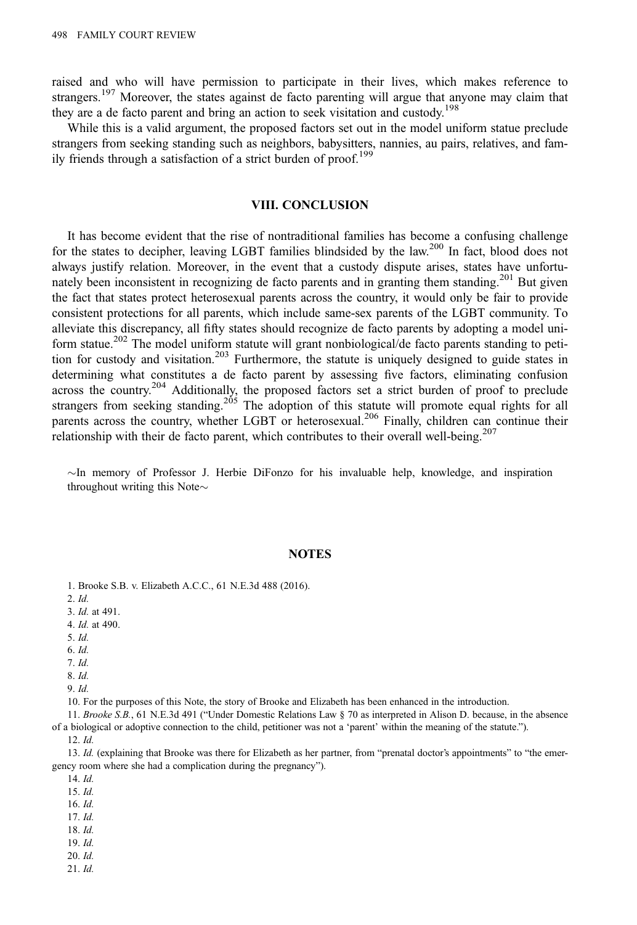raised and who will have permission to participate in their lives, which makes reference to strangers.<sup>197</sup> Moreover, the states against de facto parenting will argue that anyone may claim that they are a de facto parent and bring an action to seek visitation and custody.<sup>198</sup>

While this is a valid argument, the proposed factors set out in the model uniform statue preclude strangers from seeking standing such as neighbors, babysitters, nannies, au pairs, relatives, and family friends through a satisfaction of a strict burden of proof.<sup>199</sup>

# VIII. CONCLUSION

It has become evident that the rise of nontraditional families has become a confusing challenge for the states to decipher, leaving LGBT families blindsided by the law.<sup>200</sup> In fact, blood does not always justify relation. Moreover, in the event that a custody dispute arises, states have unfortunately been inconsistent in recognizing de facto parents and in granting them standing.<sup>201</sup> But given the fact that states protect heterosexual parents across the country, it would only be fair to provide consistent protections for all parents, which include same-sex parents of the LGBT community. To alleviate this discrepancy, all fifty states should recognize de facto parents by adopting a model uniform statue.<sup>202</sup> The model uniform statute will grant nonbiological/de facto parents standing to petition for custody and visitation.<sup>203</sup> Furthermore, the statute is uniquely designed to guide states in determining what constitutes a de facto parent by assessing five factors, eliminating confusion across the country.<sup>204</sup> Additionally, the proposed factors set a strict burden of proof to preclude strangers from seeking standing.<sup>205</sup> The adoption of this statute will promote equal rights for all parents across the country, whether LGBT or heterosexual.<sup>206</sup> Finally, children can continue their relationship with their de facto parent, which contributes to their overall well-being.<sup>207</sup>

 $\sim$ In memory of Professor J. Herbie DiFonzo for his invaluable help, knowledge, and inspiration throughout writing this Note $\sim$ 

#### NOTES

1. Brooke S.B. v. Elizabeth A.C.C., 61 N.E.3d 488 (2016).

2. Id.

3. Id. at 491.

- 4. Id. at 490.
- 5. Id.

6. Id.

7. Id. 8. Id.

9. Id.

10. For the purposes of this Note, the story of Brooke and Elizabeth has been enhanced in the introduction.

11. Brooke S.B., 61 N.E.3d 491 ("Under Domestic Relations Law § 70 as interpreted in Alison D. because, in the absence of a biological or adoptive connection to the child, petitioner was not a 'parent' within the meaning of the statute.").

12. Id.

13. Id. (explaining that Brooke was there for Elizabeth as her partner, from "prenatal doctor's appointments" to "the emergency room where she had a complication during the pregnancy").

14. Id.

15. Id.

- 16. Id.
- 17. Id.
- 18. Id.
- 19. Id.
- 20. Id.
- 21. Id.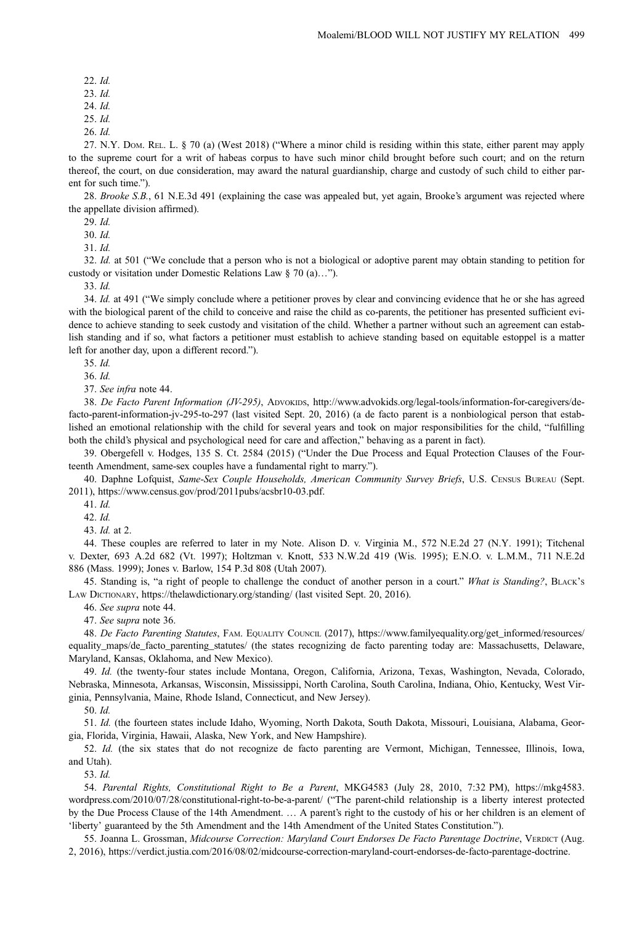```
22. Id.
```
23. Id.

24. Id.

25. Id.

26. Id.

27. N.Y. DOM. REL. L. § 70 (a) (West 2018) ("Where a minor child is residing within this state, either parent may apply to the supreme court for a writ of habeas corpus to have such minor child brought before such court; and on the return thereof, the court, on due consideration, may award the natural guardianship, charge and custody of such child to either parent for such time.").

28. Brooke S.B., 61 N.E.3d 491 (explaining the case was appealed but, yet again, Brooke's argument was rejected where the appellate division affirmed).

29. Id.

30. Id.

31. Id.

32. Id. at 501 ("We conclude that a person who is not a biological or adoptive parent may obtain standing to petition for custody or visitation under Domestic Relations Law § 70 (a)…").

33. Id.

34. Id. at 491 ("We simply conclude where a petitioner proves by clear and convincing evidence that he or she has agreed with the biological parent of the child to conceive and raise the child as co-parents, the petitioner has presented sufficient evidence to achieve standing to seek custody and visitation of the child. Whether a partner without such an agreement can establish standing and if so, what factors a petitioner must establish to achieve standing based on equitable estoppel is a matter left for another day, upon a different record.").

35. Id.

36. Id.

37. See infra note 44.

38. De Facto Parent Information (JV-295), ADVOKIDS, [http://www.advokids.org/legal-tools/information-for-caregivers/de](http://www.advokids.org/legal-tools/information-for-caregivers/de-facto-parent-information-jv-295-to-297)[facto-parent-information-jv-295-to-297](http://www.advokids.org/legal-tools/information-for-caregivers/de-facto-parent-information-jv-295-to-297) (last visited Sept. 20, 2016) (a de facto parent is a nonbiological person that established an emotional relationship with the child for several years and took on major responsibilities for the child, "fulfilling both the child's physical and psychological need for care and affection," behaving as a parent in fact).

39. Obergefell v. Hodges, 135 S. Ct. 2584 (2015) ("Under the Due Process and Equal Protection Clauses of the Fourteenth Amendment, same-sex couples have a fundamental right to marry.").

40. Daphne Lofquist, Same-Sex Couple Households, American Community Survey Briefs, U.S. CENSUS BUREAU (Sept. 2011),<https://www.census.gov/prod/2011pubs/acsbr10-03.pdf>.

41. Id.

42. Id.

43. Id. at 2.

44. These couples are referred to later in my Note. Alison D. v. Virginia M., 572 N.E.2d 27 (N.Y. 1991); Titchenal v. Dexter, 693 A.2d 682 (Vt. 1997); Holtzman v. Knott, 533 N.W.2d 419 (Wis. 1995); E.N.O. v. L.M.M., 711 N.E.2d 886 (Mass. 1999); Jones v. Barlow, 154 P.3d 808 (Utah 2007).

45. Standing is, "a right of people to challenge the conduct of another person in a court." What is Standing?, BLACK's LAW DICTIONARY,<https://thelawdictionary.org/standing/> (last visited Sept. 20, 2016).

46. See supra note 44.

47. See supra note 36.

48. De Facto Parenting Statutes, FAM. EQUALITY COUNCIL (2017), [https://www.familyequality.org/get\\_informed/resources/](https://www.familyequality.org/get_informed/resources/equality_maps/de_facto_parenting_statutes/) [equality\\_maps/de\\_facto\\_parenting\\_statutes/](https://www.familyequality.org/get_informed/resources/equality_maps/de_facto_parenting_statutes/) (the states recognizing de facto parenting today are: Massachusetts, Delaware, Maryland, Kansas, Oklahoma, and New Mexico).

49. Id. (the twenty-four states include Montana, Oregon, California, Arizona, Texas, Washington, Nevada, Colorado, Nebraska, Minnesota, Arkansas, Wisconsin, Mississippi, North Carolina, South Carolina, Indiana, Ohio, Kentucky, West Virginia, Pennsylvania, Maine, Rhode Island, Connecticut, and New Jersey).

50. Id.

51. Id. (the fourteen states include Idaho, Wyoming, North Dakota, South Dakota, Missouri, Louisiana, Alabama, Georgia, Florida, Virginia, Hawaii, Alaska, New York, and New Hampshire).

52. Id. (the six states that do not recognize de facto parenting are Vermont, Michigan, Tennessee, Illinois, Iowa, and Utah).

53. Id.

54. Parental Rights, Constitutional Right to Be a Parent, MKG4583 (July 28, 2010, 7:32 PM), [https://mkg4583.](https://mkg4583.wordpress.com/2010/07/28/constitutional-right-to-be-a-parent/) [wordpress.com/2010/07/28/constitutional-right-to-be-a-parent/](https://mkg4583.wordpress.com/2010/07/28/constitutional-right-to-be-a-parent/) ("The parent-child relationship is a liberty interest protected by the Due Process Clause of the 14th Amendment. … A parent's right to the custody of his or her children is an element of 'liberty' guaranteed by the 5th Amendment and the 14th Amendment of the United States Constitution.").

55. Joanna L. Grossman, Midcourse Correction: Maryland Court Endorses De Facto Parentage Doctrine, VERDICT (Aug. 2, 2016),<https://verdict.justia.com/2016/08/02/midcourse-correction-maryland-court-endorses-de-facto-parentage-doctrine>.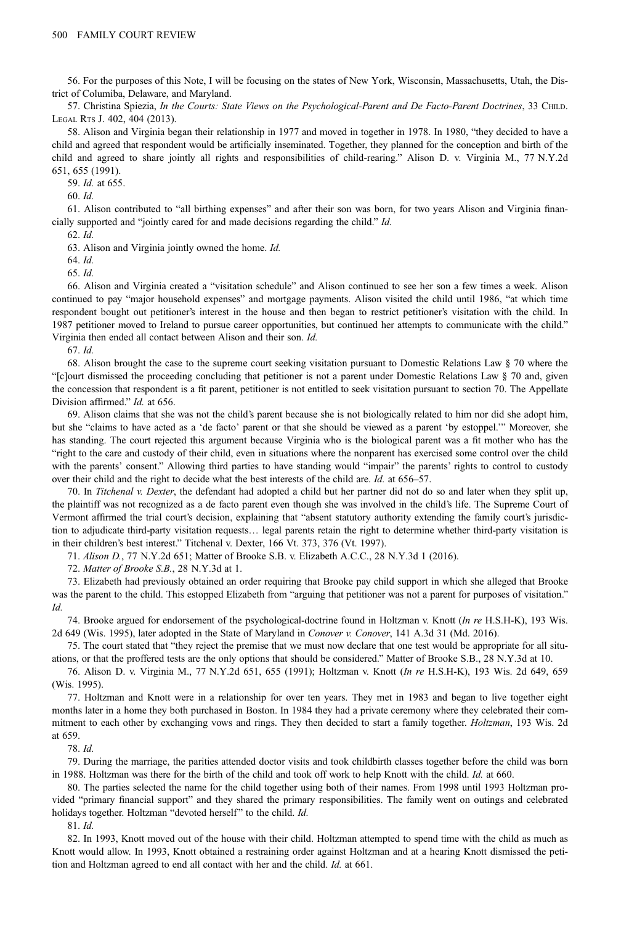56. For the purposes of this Note, I will be focusing on the states of New York, Wisconsin, Massachusetts, Utah, the District of Columiba, Delaware, and Maryland.

57. Christina Spiezia, In the Courts: State Views on the Psychological-Parent and De Facto-Parent Doctrines, 33 CHILD. LEGAL RTS J. 402, 404 (2013).

58. Alison and Virginia began their relationship in 1977 and moved in together in 1978. In 1980, "they decided to have a child and agreed that respondent would be artificially inseminated. Together, they planned for the conception and birth of the child and agreed to share jointly all rights and responsibilities of child-rearing." Alison D. v. Virginia M., 77 N.Y.2d 651, 655 (1991).

59. Id. at 655.

60. Id.

61. Alison contributed to "all birthing expenses" and after their son was born, for two years Alison and Virginia financially supported and "jointly cared for and made decisions regarding the child." Id.

62. Id.

63. Alison and Virginia jointly owned the home. Id.

64. Id.

65. Id.

66. Alison and Virginia created a "visitation schedule" and Alison continued to see her son a few times a week. Alison continued to pay "major household expenses" and mortgage payments. Alison visited the child until 1986, "at which time respondent bought out petitioner's interest in the house and then began to restrict petitioner's visitation with the child. In 1987 petitioner moved to Ireland to pursue career opportunities, but continued her attempts to communicate with the child." Virginia then ended all contact between Alison and their son. Id.

67. Id.

68. Alison brought the case to the supreme court seeking visitation pursuant to Domestic Relations Law § 70 where the "[c]ourt dismissed the proceeding concluding that petitioner is not a parent under Domestic Relations Law § 70 and, given the concession that respondent is a fit parent, petitioner is not entitled to seek visitation pursuant to section 70. The Appellate Division affirmed." Id. at 656.

69. Alison claims that she was not the child's parent because she is not biologically related to him nor did she adopt him, but she "claims to have acted as a 'de facto' parent or that she should be viewed as a parent 'by estoppel.'" Moreover, she has standing. The court rejected this argument because Virginia who is the biological parent was a fit mother who has the "right to the care and custody of their child, even in situations where the nonparent has exercised some control over the child with the parents' consent." Allowing third parties to have standing would "impair" the parents' rights to control to custody over their child and the right to decide what the best interests of the child are. Id. at 656–57.

70. In Titchenal v. Dexter, the defendant had adopted a child but her partner did not do so and later when they split up, the plaintiff was not recognized as a de facto parent even though she was involved in the child's life. The Supreme Court of Vermont affirmed the trial court's decision, explaining that "absent statutory authority extending the family court's jurisdiction to adjudicate third-party visitation requests… legal parents retain the right to determine whether third-party visitation is in their children's best interest." Titchenal v. Dexter, 166 Vt. 373, 376 (Vt. 1997).

71. Alison D., 77 N.Y.2d 651; Matter of Brooke S.B. v. Elizabeth A.C.C., 28 N.Y.3d 1 (2016).

72. Matter of Brooke S.B., 28 N.Y.3d at 1.

73. Elizabeth had previously obtained an order requiring that Brooke pay child support in which she alleged that Brooke was the parent to the child. This estopped Elizabeth from "arguing that petitioner was not a parent for purposes of visitation." Id.

74. Brooke argued for endorsement of the psychological-doctrine found in Holtzman v. Knott (In re H.S.H-K), 193 Wis. 2d 649 (Wis. 1995), later adopted in the State of Maryland in Conover v. Conover, 141 A.3d 31 (Md. 2016).

75. The court stated that "they reject the premise that we must now declare that one test would be appropriate for all situations, or that the proffered tests are the only options that should be considered." Matter of Brooke S.B., 28 N.Y.3d at 10.

76. Alison D. v. Virginia M., 77 N.Y.2d 651, 655 (1991); Holtzman v. Knott (In re H.S.H-K), 193 Wis. 2d 649, 659 (Wis. 1995).

77. Holtzman and Knott were in a relationship for over ten years. They met in 1983 and began to live together eight months later in a home they both purchased in Boston. In 1984 they had a private ceremony where they celebrated their commitment to each other by exchanging vows and rings. They then decided to start a family together. Holtzman, 193 Wis. 2d at 659.

78. Id.

79. During the marriage, the parities attended doctor visits and took childbirth classes together before the child was born in 1988. Holtzman was there for the birth of the child and took off work to help Knott with the child. Id. at 660.

80. The parties selected the name for the child together using both of their names. From 1998 until 1993 Holtzman provided "primary financial support" and they shared the primary responsibilities. The family went on outings and celebrated holidays together. Holtzman "devoted herself" to the child. Id.

81. Id.

82. In 1993, Knott moved out of the house with their child. Holtzman attempted to spend time with the child as much as Knott would allow. In 1993, Knott obtained a restraining order against Holtzman and at a hearing Knott dismissed the petition and Holtzman agreed to end all contact with her and the child. Id. at 661.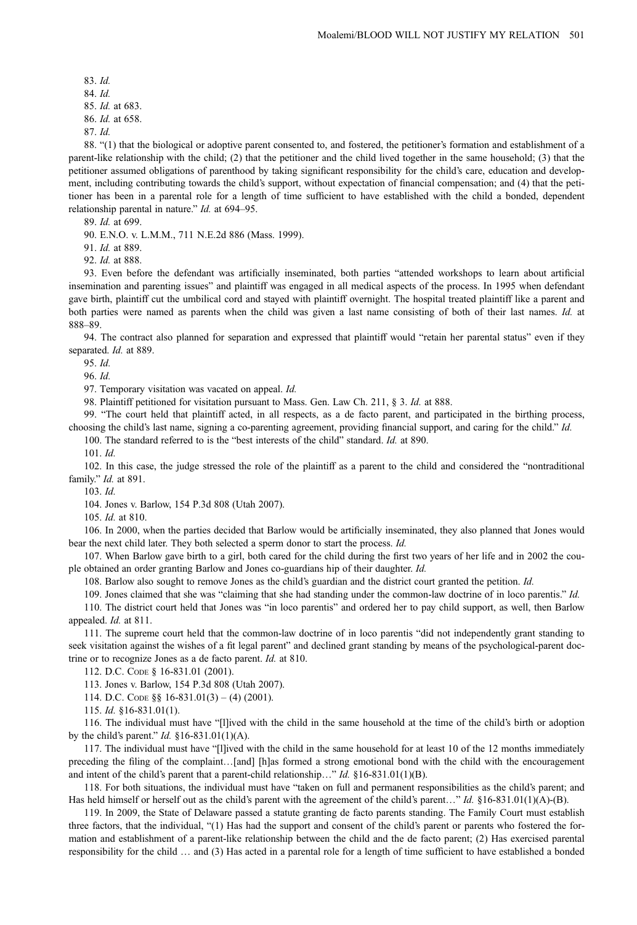83. Id. 84. Id. 85. Id. at 683. 86. Id. at 658. 87. Id.

88. "(1) that the biological or adoptive parent consented to, and fostered, the petitioner's formation and establishment of a parent-like relationship with the child; (2) that the petitioner and the child lived together in the same household; (3) that the petitioner assumed obligations of parenthood by taking significant responsibility for the child's care, education and development, including contributing towards the child's support, without expectation of financial compensation; and (4) that the petitioner has been in a parental role for a length of time sufficient to have established with the child a bonded, dependent relationship parental in nature." Id. at 694–95.

89. Id. at 699.

90. E.N.O. v. L.M.M., 711 N.E.2d 886 (Mass. 1999).

91. Id. at 889.

92. Id. at 888.

93. Even before the defendant was artificially inseminated, both parties "attended workshops to learn about artificial insemination and parenting issues" and plaintiff was engaged in all medical aspects of the process. In 1995 when defendant gave birth, plaintiff cut the umbilical cord and stayed with plaintiff overnight. The hospital treated plaintiff like a parent and both parties were named as parents when the child was given a last name consisting of both of their last names. Id. at 888–89.

94. The contract also planned for separation and expressed that plaintiff would "retain her parental status" even if they separated. *Id.* at 889.

95. Id.

96. Id.

97. Temporary visitation was vacated on appeal. Id.

98. Plaintiff petitioned for visitation pursuant to Mass. Gen. Law Ch. 211, § 3. Id. at 888.

99. "The court held that plaintiff acted, in all respects, as a de facto parent, and participated in the birthing process, choosing the child's last name, signing a co-parenting agreement, providing financial support, and caring for the child." Id.

100. The standard referred to is the "best interests of the child" standard. Id. at 890.

 $101$   $Id$ 

102. In this case, the judge stressed the role of the plaintiff as a parent to the child and considered the "nontraditional family." Id. at 891.

 $103 \,$  *Id.* 

104. Jones v. Barlow, 154 P.3d 808 (Utah 2007).

105. Id. at 810.

106. In 2000, when the parties decided that Barlow would be artificially inseminated, they also planned that Jones would bear the next child later. They both selected a sperm donor to start the process. Id.

107. When Barlow gave birth to a girl, both cared for the child during the first two years of her life and in 2002 the couple obtained an order granting Barlow and Jones co-guardians hip of their daughter. Id.

108. Barlow also sought to remove Jones as the child's guardian and the district court granted the petition. Id.

109. Jones claimed that she was "claiming that she had standing under the common-law doctrine of in loco parentis." Id. 110. The district court held that Jones was "in loco parentis" and ordered her to pay child support, as well, then Barlow appealed. Id. at 811.

111. The supreme court held that the common-law doctrine of in loco parentis "did not independently grant standing to seek visitation against the wishes of a fit legal parent" and declined grant standing by means of the psychological-parent doctrine or to recognize Jones as a de facto parent. Id. at 810.

112. D.C. CODE § 16-831.01 (2001).

113. Jones v. Barlow, 154 P.3d 808 (Utah 2007).

114. D.C. CODE §§ 16-831.01(3) – (4) (2001).

115. Id. §16-831.01(1).

116. The individual must have "[l]ived with the child in the same household at the time of the child's birth or adoption by the child's parent." *Id.* §16-831.01(1)(A).

117. The individual must have "[l]ived with the child in the same household for at least 10 of the 12 months immediately preceding the filing of the complaint…[and] [h]as formed a strong emotional bond with the child with the encouragement and intent of the child's parent that a parent-child relationship..." Id.  $$16-831.01(1)(B)$ .

118. For both situations, the individual must have "taken on full and permanent responsibilities as the child's parent; and Has held himself or herself out as the child's parent with the agreement of the child's parent..." Id. §16-831.01(1)(A)-(B).

119. In 2009, the State of Delaware passed a statute granting de facto parents standing. The Family Court must establish three factors, that the individual, "(1) Has had the support and consent of the child's parent or parents who fostered the formation and establishment of a parent-like relationship between the child and the de facto parent; (2) Has exercised parental responsibility for the child … and (3) Has acted in a parental role for a length of time sufficient to have established a bonded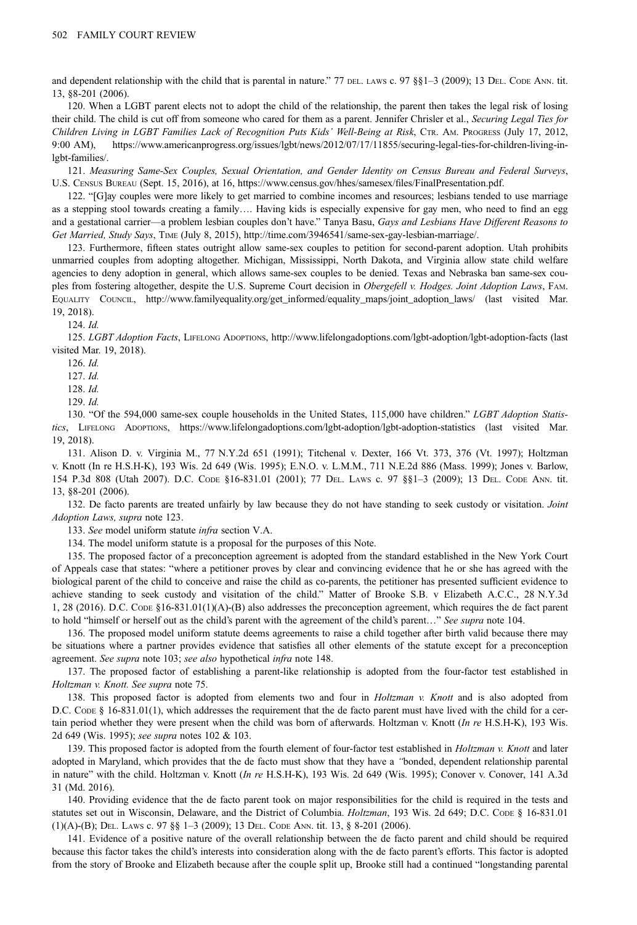and dependent relationship with the child that is parental in nature." 77 DEL. LAWS c. 97  $\S$ §1–3 (2009); 13 DEL. CODE ANN. tit. 13, §8-201 (2006).

120. When a LGBT parent elects not to adopt the child of the relationship, the parent then takes the legal risk of losing their child. The child is cut off from someone who cared for them as a parent. Jennifer Chrisler et al., Securing Legal Ties for Children Living in LGBT Families Lack of Recognition Puts Kids' Well-Being at Risk, CTR. AM. PROGRESS (July 17, 2012, 9:00 AM), [https://www.americanprogress.org/issues/lgbt/news/2012/07/17/11855/securing-legal-ties-for-children-living-in](https://www.americanprogress.org/issues/lgbt/news/2012/07/17/11855/securing-legal-ties-for-children-living-in-lgbt-families/)[lgbt-families/.](https://www.americanprogress.org/issues/lgbt/news/2012/07/17/11855/securing-legal-ties-for-children-living-in-lgbt-families/)

121. Measuring Same-Sex Couples, Sexual Orientation, and Gender Identity on Census Bureau and Federal Surveys, U.S. CENSUS BUREAU (Sept. 15, 2016), at 16, [https://www.census.gov/hhes/samesex/](https://www.census.gov/hhes/samesex/files/FinalPresentation.pdf)files/FinalPresentation.pdf.

122. "[G]ay couples were more likely to get married to combine incomes and resources; lesbians tended to use marriage as a stepping stool towards creating a family…. Having kids is especially expensive for gay men, who need to find an egg and a gestational carrier—a problem lesbian couples don't have." Tanya Basu, Gays and Lesbians Have Different Reasons to Get Married, Study Says, TIME (July 8, 2015),<http://time.com/3946541/same-sex-gay-lesbian-marriage/>.

123. Furthermore, fifteen states outright allow same-sex couples to petition for second-parent adoption. Utah prohibits unmarried couples from adopting altogether. Michigan, Mississippi, North Dakota, and Virginia allow state child welfare agencies to deny adoption in general, which allows same-sex couples to be denied. Texas and Nebraska ban same-sex couples from fostering altogether, despite the U.S. Supreme Court decision in Obergefell v. Hodges. Joint Adoption Laws, FAM. EQUALITY COUNCIL, [http://www.familyequality.org/get\\_](http://www.familyequality.org/get_)informed/equality\_maps/joint\_adoption\_laws/ (last visited Mar. 19, 2018).

124. Id.

125. LGBT Adoption Facts, LIFELONG ADOPTIONS,<http://www.lifelongadoptions.com/lgbt-adoption/lgbt-adoption-facts> (last visited Mar. 19, 2018).

126. Id.

127. Id.

128. Id.

129. Id.

130. "Of the 594,000 same-sex couple households in the United States, 115,000 have children." LGBT Adoption Statistics, LIFELONG ADOPTIONS,<https://www.lifelongadoptions.com/lgbt-adoption/lgbt-adoption-statistics> (last visited Mar. 19, 2018).

131. Alison D. v. Virginia M., 77 N.Y.2d 651 (1991); Titchenal v. Dexter, 166 Vt. 373, 376 (Vt. 1997); Holtzman v. Knott (In re H.S.H-K), 193 Wis. 2d 649 (Wis. 1995); E.N.O. v. L.M.M., 711 N.E.2d 886 (Mass. 1999); Jones v. Barlow, 154 P.3d 808 (Utah 2007). D.C. CODE §16-831.01 (2001); 77 DEL. LAWS c. 97 §§1–3 (2009); 13 DEL. CODE ANN. tit. 13, §8-201 (2006).

132. De facto parents are treated unfairly by law because they do not have standing to seek custody or visitation. *Joint* Adoption Laws, supra note 123.

133. See model uniform statute infra section V.A.

134. The model uniform statute is a proposal for the purposes of this Note.

135. The proposed factor of a preconception agreement is adopted from the standard established in the New York Court of Appeals case that states: "where a petitioner proves by clear and convincing evidence that he or she has agreed with the biological parent of the child to conceive and raise the child as co-parents, the petitioner has presented sufficient evidence to achieve standing to seek custody and visitation of the child." Matter of Brooke S.B. v Elizabeth A.C.C., 28 N.Y.3d 1, 28 (2016). D.C. CODE §16-831.01(1)(A)-(B) also addresses the preconception agreement, which requires the de fact parent to hold "himself or herself out as the child's parent with the agreement of the child's parent..." See supra note 104.

136. The proposed model uniform statute deems agreements to raise a child together after birth valid because there may be situations where a partner provides evidence that satisfies all other elements of the statute except for a preconception agreement. See supra note 103; see also hypothetical infra note 148.

137. The proposed factor of establishing a parent-like relationship is adopted from the four-factor test established in Holtzman v. Knott. See supra note 75.

138. This proposed factor is adopted from elements two and four in *Holtzman v. Knott* and is also adopted from D.C. CODE § 16-831.01(1), which addresses the requirement that the de facto parent must have lived with the child for a certain period whether they were present when the child was born of afterwards. Holtzman v. Knott (In re H.S.H-K), 193 Wis. 2d 649 (Wis. 1995); see supra notes 102 & 103.

139. This proposed factor is adopted from the fourth element of four-factor test established in *Holtzman v. Knott* and later adopted in Maryland, which provides that the de facto must show that they have a "bonded, dependent relationship parental in nature" with the child. Holtzman v. Knott (In re H.S.H-K), 193 Wis. 2d 649 (Wis. 1995); Conover v. Conover, 141 A.3d 31 (Md. 2016).

140. Providing evidence that the de facto parent took on major responsibilities for the child is required in the tests and statutes set out in Wisconsin, Delaware, and the District of Columbia. *Holtzman*, 193 Wis. 2d 649; D.C. CODE § 16-831.01 (1)(A)-(B); DEL. LAWS c. 97 §§ 1–3 (2009); 13 DEL. CODE ANN. tit. 13, § 8-201 (2006).

141. Evidence of a positive nature of the overall relationship between the de facto parent and child should be required because this factor takes the child's interests into consideration along with the de facto parent's efforts. This factor is adopted from the story of Brooke and Elizabeth because after the couple split up, Brooke still had a continued "longstanding parental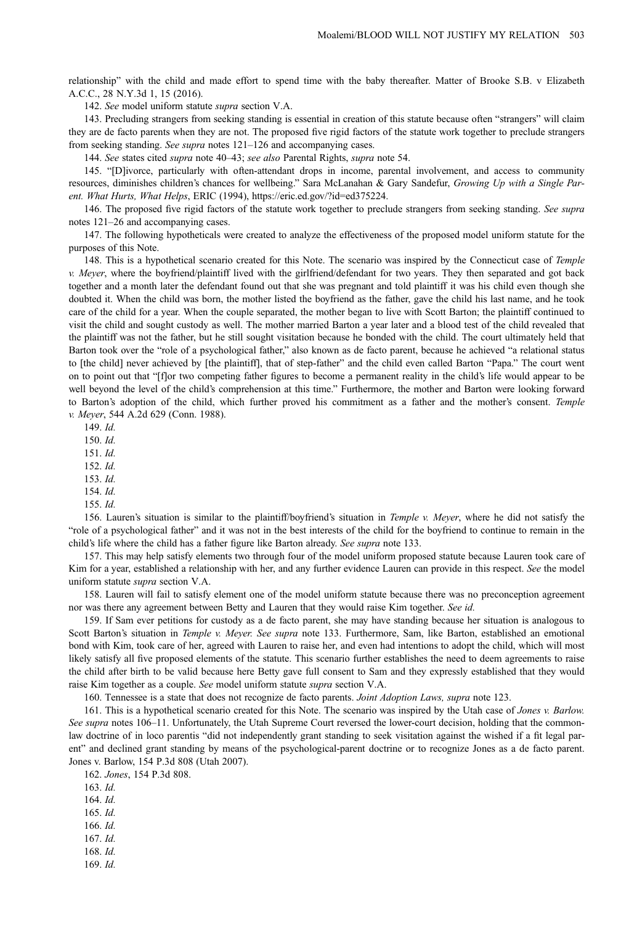relationship" with the child and made effort to spend time with the baby thereafter. Matter of Brooke S.B. v Elizabeth A.C.C., 28 N.Y.3d 1, 15 (2016).

142. See model uniform statute supra section V.A.

143. Precluding strangers from seeking standing is essential in creation of this statute because often "strangers" will claim they are de facto parents when they are not. The proposed five rigid factors of the statute work together to preclude strangers from seeking standing. See supra notes 121–126 and accompanying cases.

144. See states cited supra note 40–43; see also Parental Rights, supra note 54.

145. "[D]ivorce, particularly with often-attendant drops in income, parental involvement, and access to community resources, diminishes children's chances for wellbeing." Sara McLanahan & Gary Sandefur, Growing Up with a Single Parent. What Hurts, What Helps, ERIC (1994), [https://eric.ed.gov/?id=ed375224.](https://eric.ed.gov/?id=ed375224)

146. The proposed five rigid factors of the statute work together to preclude strangers from seeking standing. See supra notes 121–26 and accompanying cases.

147. The following hypotheticals were created to analyze the effectiveness of the proposed model uniform statute for the purposes of this Note.

148. This is a hypothetical scenario created for this Note. The scenario was inspired by the Connecticut case of Temple v. Meyer, where the boyfriend/plaintiff lived with the girlfriend/defendant for two years. They then separated and got back together and a month later the defendant found out that she was pregnant and told plaintiff it was his child even though she doubted it. When the child was born, the mother listed the boyfriend as the father, gave the child his last name, and he took care of the child for a year. When the couple separated, the mother began to live with Scott Barton; the plaintiff continued to visit the child and sought custody as well. The mother married Barton a year later and a blood test of the child revealed that the plaintiff was not the father, but he still sought visitation because he bonded with the child. The court ultimately held that Barton took over the "role of a psychological father," also known as de facto parent, because he achieved "a relational status to [the child] never achieved by [the plaintiff], that of step-father" and the child even called Barton "Papa." The court went on to point out that "[f]or two competing father figures to become a permanent reality in the child's life would appear to be well beyond the level of the child's comprehension at this time." Furthermore, the mother and Barton were looking forward to Barton's adoption of the child, which further proved his commitment as a father and the mother's consent. Temple v. Meyer, 544 A.2d 629 (Conn. 1988).

149. Id.

150. Id.

151. Id.

 $152 \text{ Id}$ 

153. Id.

154. Id.

155. Id.

156. Lauren's situation is similar to the plaintiff/boyfriend's situation in Temple v. Meyer, where he did not satisfy the "role of a psychological father" and it was not in the best interests of the child for the boyfriend to continue to remain in the child's life where the child has a father figure like Barton already. See supra note 133.

157. This may help satisfy elements two through four of the model uniform proposed statute because Lauren took care of Kim for a year, established a relationship with her, and any further evidence Lauren can provide in this respect. See the model uniform statute supra section V.A.

158. Lauren will fail to satisfy element one of the model uniform statute because there was no preconception agreement nor was there any agreement between Betty and Lauren that they would raise Kim together. See id.

159. If Sam ever petitions for custody as a de facto parent, she may have standing because her situation is analogous to Scott Barton's situation in Temple v. Meyer. See supra note 133. Furthermore, Sam, like Barton, established an emotional bond with Kim, took care of her, agreed with Lauren to raise her, and even had intentions to adopt the child, which will most likely satisfy all five proposed elements of the statute. This scenario further establishes the need to deem agreements to raise the child after birth to be valid because here Betty gave full consent to Sam and they expressly established that they would raise Kim together as a couple. See model uniform statute supra section V.A.

160. Tennessee is a state that does not recognize de facto parents. Joint Adoption Laws, supra note 123.

161. This is a hypothetical scenario created for this Note. The scenario was inspired by the Utah case of Jones v. Barlow. See supra notes 106–11. Unfortunately, the Utah Supreme Court reversed the lower-court decision, holding that the commonlaw doctrine of in loco parentis "did not independently grant standing to seek visitation against the wished if a fit legal parent" and declined grant standing by means of the psychological-parent doctrine or to recognize Jones as a de facto parent. Jones v. Barlow, 154 P.3d 808 (Utah 2007).

162. Jones, 154 P.3d 808.

163. Id.

164. Id.

165. Id.

166. Id.

167. Id.

168. Id.

169. Id.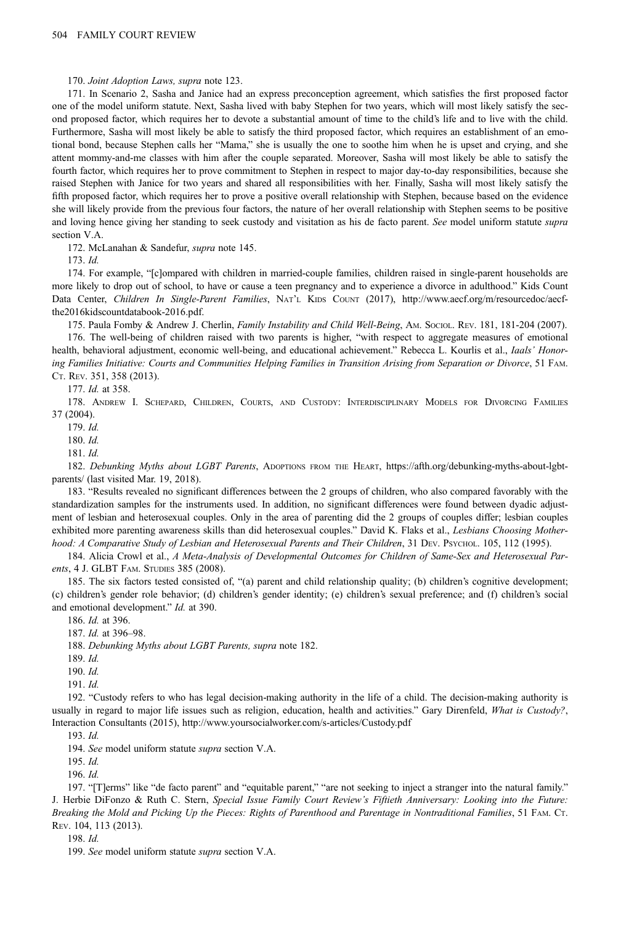170. Joint Adoption Laws, supra note 123.

171. In Scenario 2, Sasha and Janice had an express preconception agreement, which satisfies the first proposed factor one of the model uniform statute. Next, Sasha lived with baby Stephen for two years, which will most likely satisfy the second proposed factor, which requires her to devote a substantial amount of time to the child's life and to live with the child. Furthermore, Sasha will most likely be able to satisfy the third proposed factor, which requires an establishment of an emotional bond, because Stephen calls her "Mama," she is usually the one to soothe him when he is upset and crying, and she attent mommy-and-me classes with him after the couple separated. Moreover, Sasha will most likely be able to satisfy the fourth factor, which requires her to prove commitment to Stephen in respect to major day-to-day responsibilities, because she raised Stephen with Janice for two years and shared all responsibilities with her. Finally, Sasha will most likely satisfy the fifth proposed factor, which requires her to prove a positive overall relationship with Stephen, because based on the evidence she will likely provide from the previous four factors, the nature of her overall relationship with Stephen seems to be positive and loving hence giving her standing to seek custody and visitation as his de facto parent. See model uniform statute supra section V.A.

172. McLanahan & Sandefur, supra note 145.

173. Id.

174. For example, "[c]ompared with children in married-couple families, children raised in single-parent households are more likely to drop out of school, to have or cause a teen pregnancy and to experience a divorce in adulthood." Kids Count Data Center, Children In Single-Parent Families, NAT'L KIDS COUNT (2017), [http://www.aecf.org/m/resourcedoc/aecf](http://www.aecf.org/m/resourcedoc/aecf-the2016kidscountdatabook-2016.pdf)[the2016kidscountdatabook-2016.pdf](http://www.aecf.org/m/resourcedoc/aecf-the2016kidscountdatabook-2016.pdf).

175. Paula Fomby & Andrew J. Cherlin, Family Instability and Child Well-Being, Am. Sociol. REV. 181, 181-204 (2007). 176. The well-being of children raised with two parents is higher, "with respect to aggregate measures of emotional health, behavioral adjustment, economic well-being, and educational achievement." Rebecca L. Kourlis et al., *Iaals' Honor*ing Families Initiative: Courts and Communities Helping Families in Transition Arising from Separation or Divorce, 51 FAM. CT. REV. 351, 358 (2013).

177. Id. at 358.

178. ANDREW I. SCHEPARD, CHILDREN, COURTS, AND CUSTODY: INTERDISCIPLINARY MODELS FOR DIVORCING FAMILIES 37 (2004).

179. Id.

180. Id.

181. Id.

182. Debunking Myths about LGBT Parents, ADOPTIONS FROM THE HEART, [https://afth.org/debunking-myths-about-lgbt](https://afth.org/debunking-myths-about-lgbt-parents/)[parents/](https://afth.org/debunking-myths-about-lgbt-parents/) (last visited Mar. 19, 2018).

183. "Results revealed no significant differences between the 2 groups of children, who also compared favorably with the standardization samples for the instruments used. In addition, no significant differences were found between dyadic adjustment of lesbian and heterosexual couples. Only in the area of parenting did the 2 groups of couples differ; lesbian couples exhibited more parenting awareness skills than did heterosexual couples." David K. Flaks et al., Lesbians Choosing Motherhood: A Comparative Study of Lesbian and Heterosexual Parents and Their Children, 31 DEV. PSYCHOL. 105, 112 (1995).

184. Alicia Crowl et al., A Meta-Analysis of Developmental Outcomes for Children of Same-Sex and Heterosexual Parents, 4 J. GLBT FAM. STUDIES 385 (2008).

185. The six factors tested consisted of, "(a) parent and child relationship quality; (b) children's cognitive development; (c) children's gender role behavior; (d) children's gender identity; (e) children's sexual preference; and (f) children's social and emotional development." Id. at 390.

186. Id. at 396.

187. Id. at 396–98.

188. Debunking Myths about LGBT Parents, supra note 182.

189. Id.

190. Id.

 $191 \; Id$ 

192. "Custody refers to who has legal decision-making authority in the life of a child. The decision-making authority is usually in regard to major life issues such as religion, education, health and activities." Gary Direnfeld, What is Custody?, Interaction Consultants (2015),<http://www.yoursocialworker.com/s-articles/Custody.pdf>

193. Id.

194. See model uniform statute supra section V.A.

195. Id.

196. Id.

197. "[T]erms" like "de facto parent" and "equitable parent," "are not seeking to inject a stranger into the natural family." J. Herbie DiFonzo & Ruth C. Stern, Special Issue Family Court Review's Fiftieth Anniversary: Looking into the Future: Breaking the Mold and Picking Up the Pieces: Rights of Parenthood and Parentage in Nontraditional Families, 51 FAM. CT. REV. 104, 113 (2013).

198. Id.

199. See model uniform statute supra section V.A.